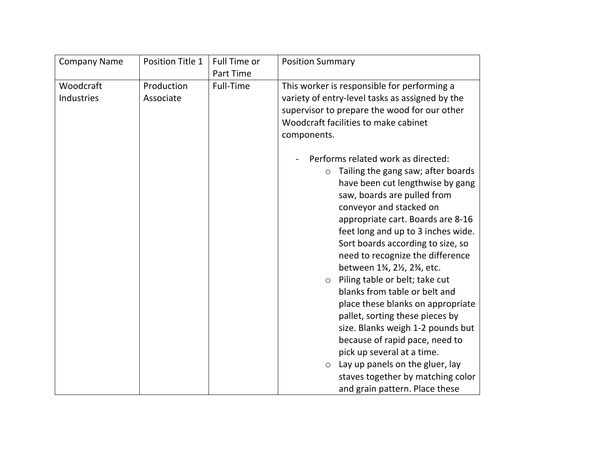| <b>Company Name</b>     | Position Title 1        | Full Time or<br>Part Time | <b>Position Summary</b>                                                                                                                                                                                                                                                                                                                                                                                                                                                                                                                                                                                                                                                                                                                                          |
|-------------------------|-------------------------|---------------------------|------------------------------------------------------------------------------------------------------------------------------------------------------------------------------------------------------------------------------------------------------------------------------------------------------------------------------------------------------------------------------------------------------------------------------------------------------------------------------------------------------------------------------------------------------------------------------------------------------------------------------------------------------------------------------------------------------------------------------------------------------------------|
| Woodcraft<br>Industries | Production<br>Associate | Full-Time                 | This worker is responsible for performing a<br>variety of entry-level tasks as assigned by the<br>supervisor to prepare the wood for our other<br>Woodcraft facilities to make cabinet                                                                                                                                                                                                                                                                                                                                                                                                                                                                                                                                                                           |
|                         |                         |                           | components.<br>Performs related work as directed:<br>Tailing the gang saw; after boards<br>$\circ$<br>have been cut lengthwise by gang<br>saw, boards are pulled from<br>conveyor and stacked on<br>appropriate cart. Boards are 8-16<br>feet long and up to 3 inches wide.<br>Sort boards according to size, so<br>need to recognize the difference<br>between 13⁄4, 21⁄2, 23⁄4, etc.<br>Piling table or belt; take cut<br>$\circ$<br>blanks from table or belt and<br>place these blanks on appropriate<br>pallet, sorting these pieces by<br>size. Blanks weigh 1-2 pounds but<br>because of rapid pace, need to<br>pick up several at a time.<br>Lay up panels on the gluer, lay<br>O<br>staves together by matching color<br>and grain pattern. Place these |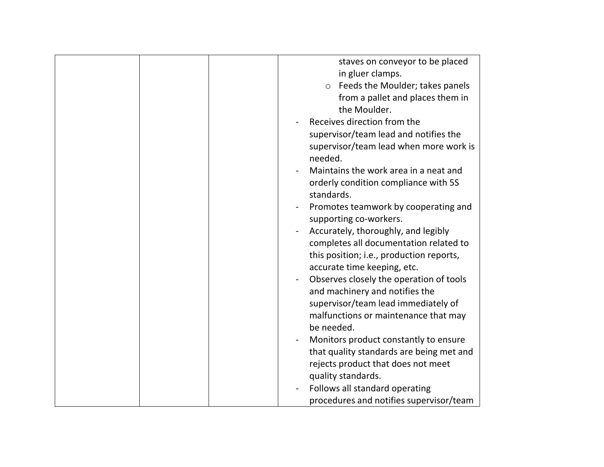|  | staves on conveyor to be placed<br>in gluer clamps.<br>Feeds the Moulder; takes panels<br>$\circ$<br>from a pallet and places them in<br>the Moulder.<br>Receives direction from the<br>supervisor/team lead and notifies the<br>supervisor/team lead when more work is<br>needed.<br>Maintains the work area in a neat and<br>orderly condition compliance with 5S<br>standards.<br>Promotes teamwork by cooperating and<br>supporting co-workers.<br>Accurately, thoroughly, and legibly<br>completes all documentation related to<br>this position; i.e., production reports,<br>accurate time keeping, etc.<br>Observes closely the operation of tools<br>and machinery and notifies the<br>supervisor/team lead immediately of<br>malfunctions or maintenance that may<br>be needed.<br>Monitors product constantly to ensure<br>that quality standards are being met and |
|--|--------------------------------------------------------------------------------------------------------------------------------------------------------------------------------------------------------------------------------------------------------------------------------------------------------------------------------------------------------------------------------------------------------------------------------------------------------------------------------------------------------------------------------------------------------------------------------------------------------------------------------------------------------------------------------------------------------------------------------------------------------------------------------------------------------------------------------------------------------------------------------|
|  | rejects product that does not meet<br>quality standards.<br>Follows all standard operating<br>procedures and notifies supervisor/team                                                                                                                                                                                                                                                                                                                                                                                                                                                                                                                                                                                                                                                                                                                                          |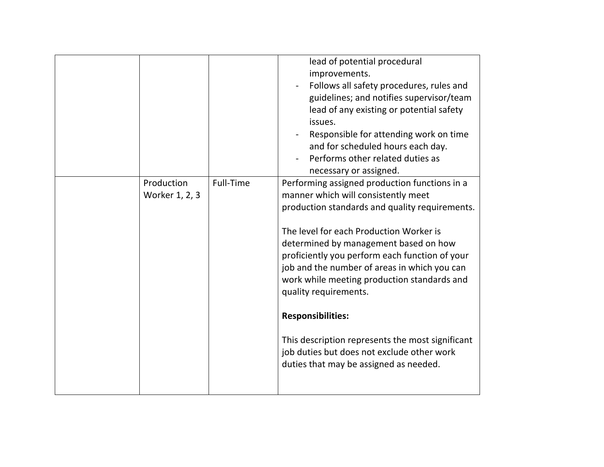|                              |           | lead of potential procedural<br>improvements.<br>Follows all safety procedures, rules and<br>guidelines; and notifies supervisor/team<br>lead of any existing or potential safety<br>issues.<br>Responsible for attending work on time<br>and for scheduled hours each day.<br>Performs other related duties as<br>necessary or assigned.                                                                                                                                                                                                                                    |
|------------------------------|-----------|------------------------------------------------------------------------------------------------------------------------------------------------------------------------------------------------------------------------------------------------------------------------------------------------------------------------------------------------------------------------------------------------------------------------------------------------------------------------------------------------------------------------------------------------------------------------------|
| Production<br>Worker 1, 2, 3 | Full-Time | Performing assigned production functions in a<br>manner which will consistently meet<br>production standards and quality requirements.<br>The level for each Production Worker is<br>determined by management based on how<br>proficiently you perform each function of your<br>job and the number of areas in which you can<br>work while meeting production standards and<br>quality requirements.<br><b>Responsibilities:</b><br>This description represents the most significant<br>job duties but does not exclude other work<br>duties that may be assigned as needed. |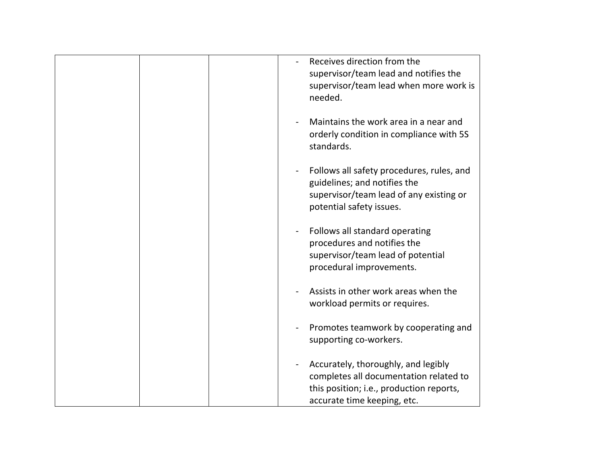| Receives direction from the<br>supervisor/team lead and notifies the<br>supervisor/team lead when more work is<br>needed.                                                        |
|----------------------------------------------------------------------------------------------------------------------------------------------------------------------------------|
| Maintains the work area in a near and<br>orderly condition in compliance with 5S<br>standards.                                                                                   |
| Follows all safety procedures, rules, and<br>$\qquad \qquad \blacksquare$<br>guidelines; and notifies the<br>supervisor/team lead of any existing or<br>potential safety issues. |
| Follows all standard operating<br>procedures and notifies the<br>supervisor/team lead of potential<br>procedural improvements.                                                   |
| Assists in other work areas when the<br>workload permits or requires.                                                                                                            |
| Promotes teamwork by cooperating and<br>supporting co-workers.                                                                                                                   |
| Accurately, thoroughly, and legibly<br>completes all documentation related to<br>this position; i.e., production reports,<br>accurate time keeping, etc.                         |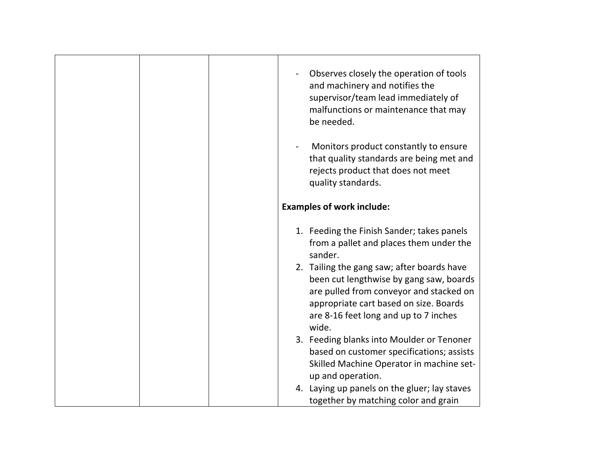|  | Observes closely the operation of tools<br>and machinery and notifies the<br>supervisor/team lead immediately of<br>malfunctions or maintenance that may<br>be needed.                                                                                                                                                                                                        |
|--|-------------------------------------------------------------------------------------------------------------------------------------------------------------------------------------------------------------------------------------------------------------------------------------------------------------------------------------------------------------------------------|
|  | Monitors product constantly to ensure<br>that quality standards are being met and<br>rejects product that does not meet<br>quality standards.                                                                                                                                                                                                                                 |
|  | <b>Examples of work include:</b>                                                                                                                                                                                                                                                                                                                                              |
|  | 1. Feeding the Finish Sander; takes panels<br>from a pallet and places them under the<br>sander.<br>2. Tailing the gang saw; after boards have<br>been cut lengthwise by gang saw, boards<br>are pulled from conveyor and stacked on<br>appropriate cart based on size. Boards<br>are 8-16 feet long and up to 7 inches<br>wide.<br>3. Feeding blanks into Moulder or Tenoner |
|  | based on customer specifications; assists<br>Skilled Machine Operator in machine set-<br>up and operation.                                                                                                                                                                                                                                                                    |
|  | 4. Laying up panels on the gluer; lay staves<br>together by matching color and grain                                                                                                                                                                                                                                                                                          |